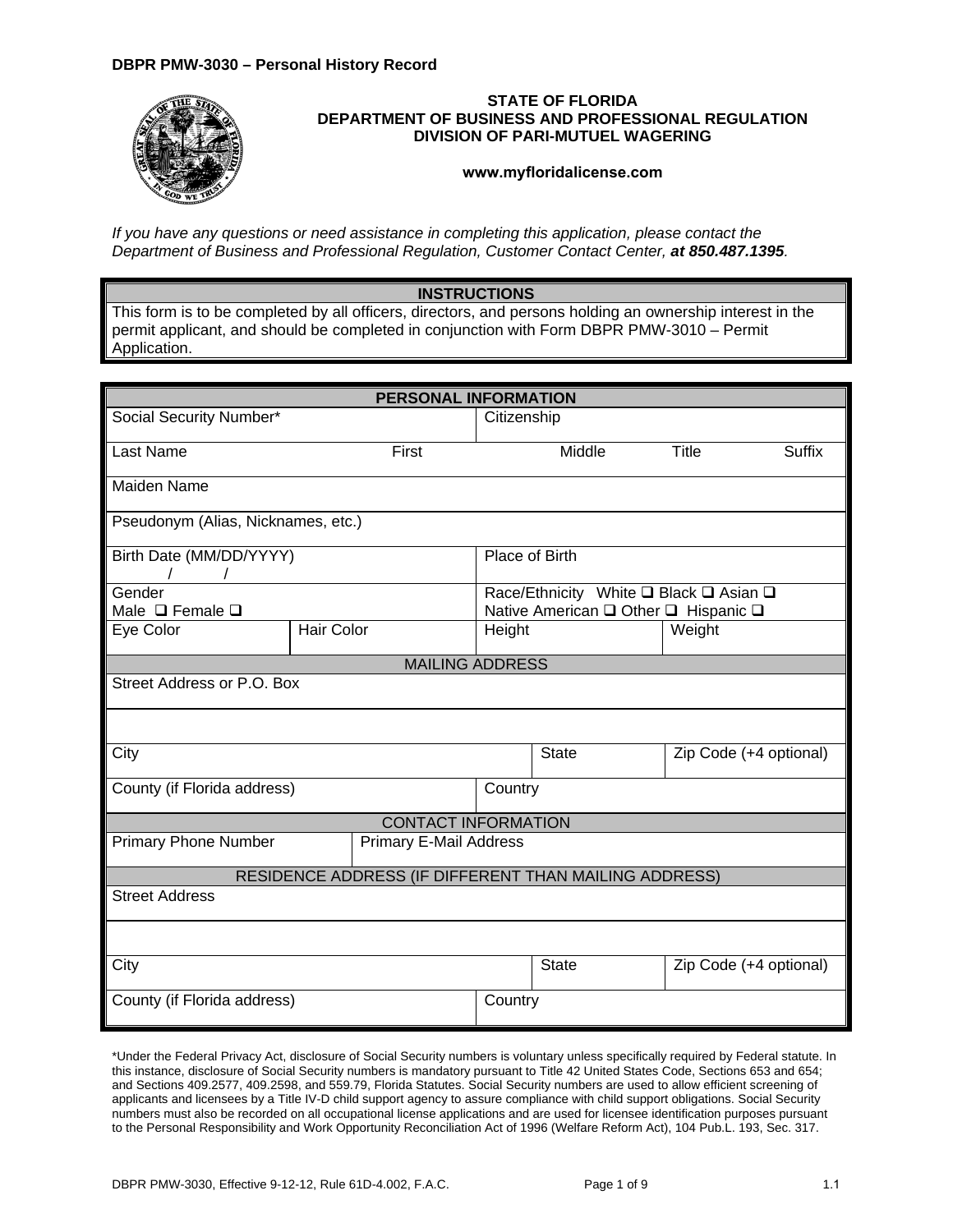## **DBPR PMW-3030 – Personal History Record**



## **STATE OF FLORIDA DEPARTMENT OF BUSINESS AND PROFESSIONAL REGULATION DIVISION OF PARI-MUTUEL WAGERING**

**<www.myfloridalicense.com>**

*If you have any questions or need assistance in completing this application, please contact the Department of Business and Professional Regulation, Customer Contact Center, at 850.487.1395.* 

## **INSTRUCTIONS**

This form is to be completed by all officers, directors, and persons holding an ownership interest in the permit applicant, and should be completed in conjunction with Form DBPR PMW-3010 – Permit Application.

| PERSONAL INFORMATION                |                                                       |             |                                                                                |                        |               |  |
|-------------------------------------|-------------------------------------------------------|-------------|--------------------------------------------------------------------------------|------------------------|---------------|--|
| Social Security Number*             |                                                       | Citizenship |                                                                                |                        |               |  |
| Last Name                           | First                                                 |             | Middle                                                                         | Title                  | <b>Suffix</b> |  |
| <b>Maiden Name</b>                  |                                                       |             |                                                                                |                        |               |  |
| Pseudonym (Alias, Nicknames, etc.)  |                                                       |             |                                                                                |                        |               |  |
| Birth Date (MM/DD/YYYY)<br>$\prime$ |                                                       |             | Place of Birth                                                                 |                        |               |  |
| Gender<br>Male $\Box$ Female $\Box$ |                                                       |             | Race/Ethnicity White □ Black □ Asian □<br>Native American □ Other □ Hispanic □ |                        |               |  |
| Eye Color                           | <b>Hair Color</b>                                     | Height      |                                                                                | Weight                 |               |  |
| <b>MAILING ADDRESS</b>              |                                                       |             |                                                                                |                        |               |  |
| Street Address or P.O. Box          |                                                       |             |                                                                                |                        |               |  |
|                                     |                                                       |             |                                                                                |                        |               |  |
| City                                |                                                       |             | <b>State</b>                                                                   | Zip Code (+4 optional) |               |  |
| County (if Florida address)         |                                                       |             | Country                                                                        |                        |               |  |
|                                     | <b>CONTACT INFORMATION</b>                            |             |                                                                                |                        |               |  |
| <b>Primary Phone Number</b>         | <b>Primary E-Mail Address</b>                         |             |                                                                                |                        |               |  |
|                                     | RESIDENCE ADDRESS (IF DIFFERENT THAN MAILING ADDRESS) |             |                                                                                |                        |               |  |
| <b>Street Address</b>               |                                                       |             |                                                                                |                        |               |  |
|                                     |                                                       |             |                                                                                |                        |               |  |
| City                                |                                                       |             | <b>State</b>                                                                   | Zip Code (+4 optional) |               |  |
| County (if Florida address)         |                                                       | Country     |                                                                                |                        |               |  |

\*Under the Federal Privacy Act, disclosure of Social Security numbers is voluntary unless specifically required by Federal statute. In this instance, disclosure of Social Security numbers is mandatory pursuant to Title 42 United States Code, Sections 653 and 654; and Sections 409.2577, 409.2598, and 559.79, Florida Statutes. Social Security numbers are used to allow efficient screening of applicants and licensees by a Title IV-D child support agency to assure compliance with child support obligations. Social Security numbers must also be recorded on all occupational license applications and are used for licensee identification purposes pursuant to the Personal Responsibility and Work Opportunity Reconciliation Act of 1996 (Welfare Reform Act), 104 Pub.L. 193, Sec. 317.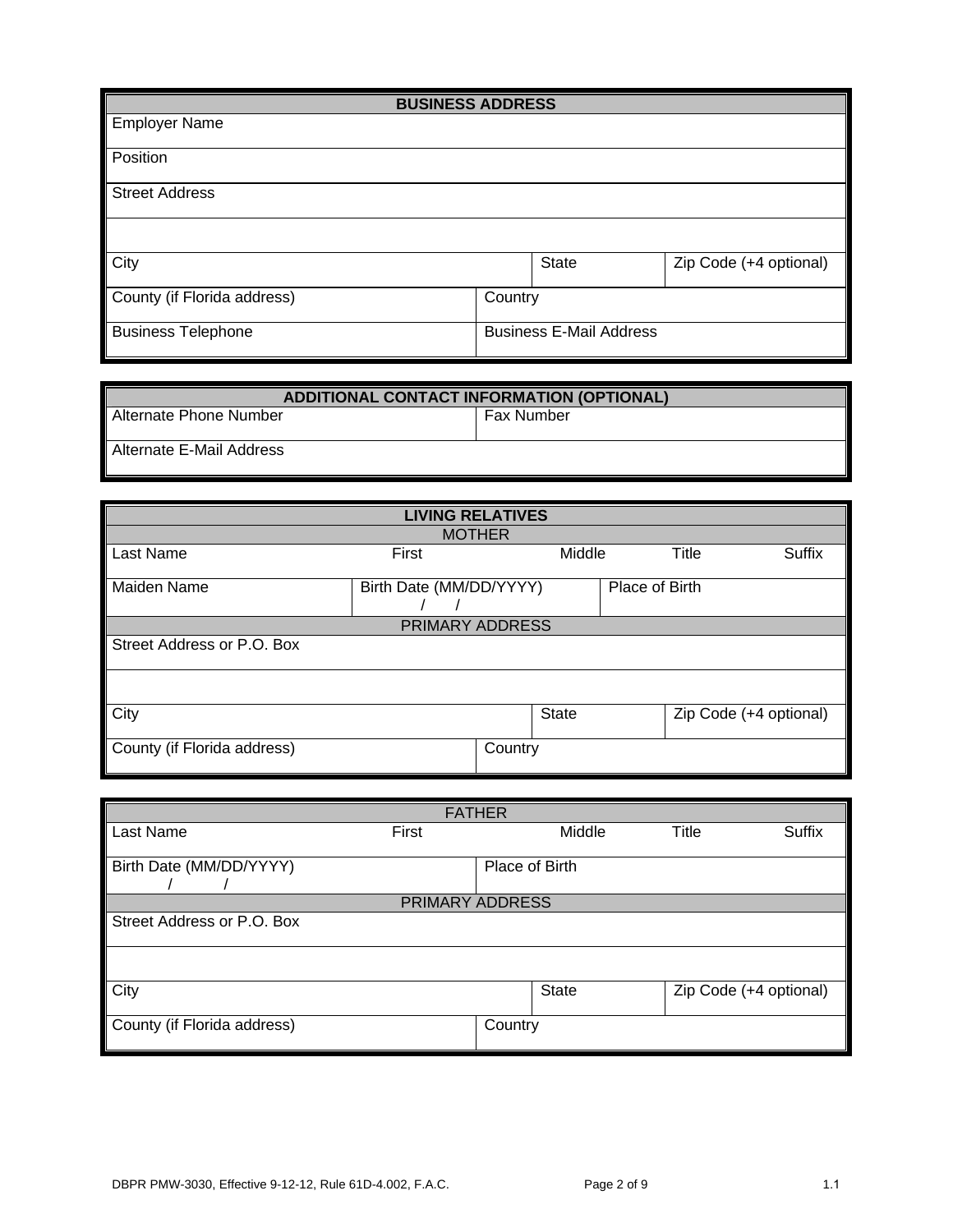| <b>BUSINESS ADDRESS</b>     |                                |       |                        |  |  |  |
|-----------------------------|--------------------------------|-------|------------------------|--|--|--|
| <b>Employer Name</b>        |                                |       |                        |  |  |  |
| Position                    |                                |       |                        |  |  |  |
| <b>Street Address</b>       |                                |       |                        |  |  |  |
|                             |                                |       |                        |  |  |  |
| City                        |                                | State | Zip Code (+4 optional) |  |  |  |
| County (if Florida address) | Country                        |       |                        |  |  |  |
| <b>Business Telephone</b>   | <b>Business E-Mail Address</b> |       |                        |  |  |  |

| <b>ADDITIONAL CONTACT INFORMATION (OPTIONAL)</b> |                   |  |  |  |
|--------------------------------------------------|-------------------|--|--|--|
| <b>Alternate Phone Number</b>                    | <b>Fax Number</b> |  |  |  |
| Alternate E-Mail Address                         |                   |  |  |  |

| <b>LIVING RELATIVES</b>     |                         |         |        |                |       |                        |  |
|-----------------------------|-------------------------|---------|--------|----------------|-------|------------------------|--|
| <b>MOTHER</b>               |                         |         |        |                |       |                        |  |
| Last Name                   | First                   |         | Middle |                | Title | <b>Suffix</b>          |  |
| Maiden Name                 | Birth Date (MM/DD/YYYY) |         |        | Place of Birth |       |                        |  |
|                             | PRIMARY ADDRESS         |         |        |                |       |                        |  |
| Street Address or P.O. Box  |                         |         |        |                |       |                        |  |
|                             |                         |         |        |                |       |                        |  |
| City                        |                         |         | State  |                |       | Zip Code (+4 optional) |  |
| County (if Florida address) |                         | Country |        |                |       |                        |  |

| <b>FATHER</b>               |                |        |                        |               |  |  |
|-----------------------------|----------------|--------|------------------------|---------------|--|--|
| Last Name                   | First          | Middle | Title                  | <b>Suffix</b> |  |  |
| Birth Date (MM/DD/YYYY)     | Place of Birth |        |                        |               |  |  |
| PRIMARY ADDRESS             |                |        |                        |               |  |  |
| Street Address or P.O. Box  |                |        |                        |               |  |  |
|                             |                |        |                        |               |  |  |
| City                        |                | State  | Zip Code (+4 optional) |               |  |  |
| County (if Florida address) | Country        |        |                        |               |  |  |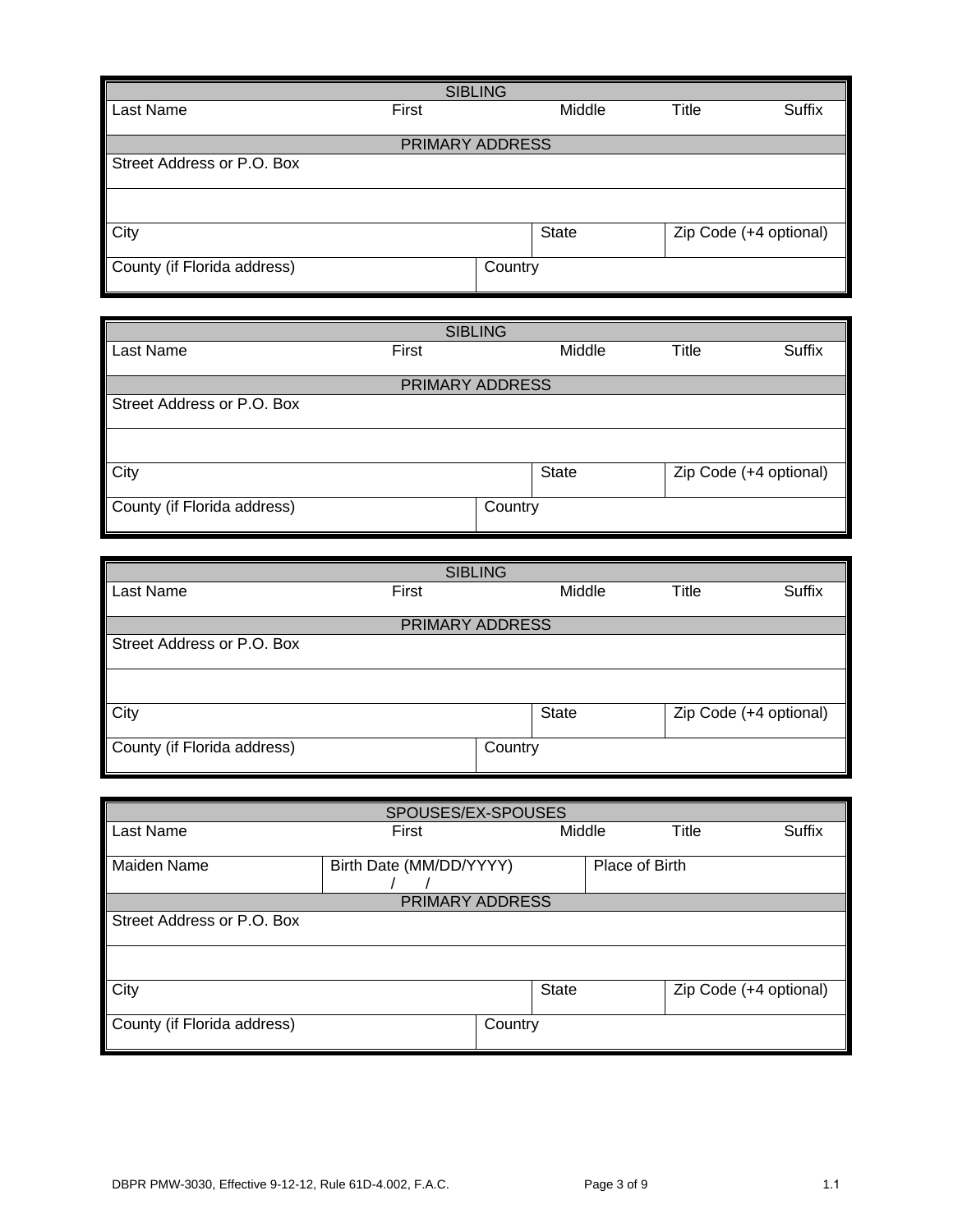| <b>SIBLING</b>              |       |              |              |                        |  |  |  |
|-----------------------------|-------|--------------|--------------|------------------------|--|--|--|
| Last Name                   | First | Middle       | <b>Title</b> | <b>Suffix</b>          |  |  |  |
| PRIMARY ADDRESS             |       |              |              |                        |  |  |  |
| Street Address or P.O. Box  |       |              |              |                        |  |  |  |
|                             |       |              |              |                        |  |  |  |
|                             |       |              |              |                        |  |  |  |
| City                        |       | <b>State</b> |              | Zip Code (+4 optional) |  |  |  |
| County (if Florida address) |       | Country      |              |                        |  |  |  |
|                             |       |              |              |                        |  |  |  |

| <b>SIBLING</b>              |                        |              |       |                        |  |  |
|-----------------------------|------------------------|--------------|-------|------------------------|--|--|
| Last Name<br>First          |                        | Middle       | Title | <b>Suffix</b>          |  |  |
|                             |                        |              |       |                        |  |  |
|                             | <b>PRIMARY ADDRESS</b> |              |       |                        |  |  |
| Street Address or P.O. Box  |                        |              |       |                        |  |  |
|                             |                        |              |       |                        |  |  |
| <b>City</b>                 |                        | <b>State</b> |       | Zip Code (+4 optional) |  |  |
| County (if Florida address) | Country                |              |       |                        |  |  |

| <b>SIBLING</b>              |                 |              |                        |  |  |  |
|-----------------------------|-----------------|--------------|------------------------|--|--|--|
| Last Name<br>First          | Middle          | <b>Title</b> | <b>Suffix</b>          |  |  |  |
|                             |                 |              |                        |  |  |  |
|                             | PRIMARY ADDRESS |              |                        |  |  |  |
| Street Address or P.O. Box  |                 |              |                        |  |  |  |
|                             |                 |              |                        |  |  |  |
| <b>City</b>                 | <b>State</b>    |              | Zip Code (+4 optional) |  |  |  |
| County (if Florida address) | Country         |              |                        |  |  |  |

| SPOUSES/EX-SPOUSES          |                         |         |              |                |       |                        |
|-----------------------------|-------------------------|---------|--------------|----------------|-------|------------------------|
| Last Name                   | First                   |         | Middle       |                | Title | Suffix                 |
|                             |                         |         |              |                |       |                        |
| Maiden Name                 | Birth Date (MM/DD/YYYY) |         |              | Place of Birth |       |                        |
|                             |                         |         |              |                |       |                        |
|                             | PRIMARY ADDRESS         |         |              |                |       |                        |
| Street Address or P.O. Box  |                         |         |              |                |       |                        |
|                             |                         |         |              |                |       |                        |
|                             |                         |         |              |                |       |                        |
|                             |                         |         |              |                |       |                        |
| City                        |                         |         | <b>State</b> |                |       | Zip Code (+4 optional) |
|                             |                         |         |              |                |       |                        |
| County (if Florida address) |                         | Country |              |                |       |                        |
|                             |                         |         |              |                |       |                        |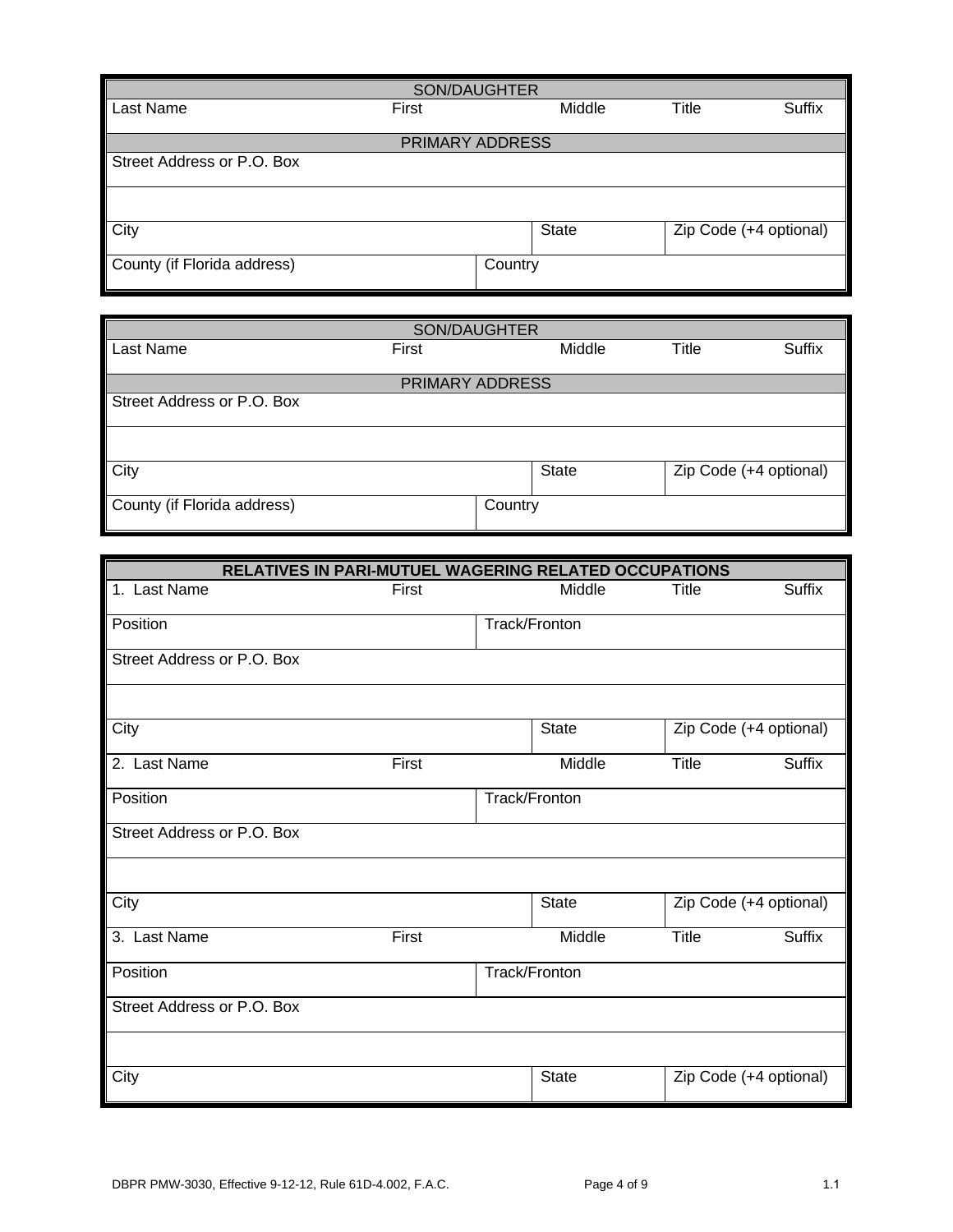| SON/DAUGHTER                |       |              |       |                        |  |  |
|-----------------------------|-------|--------------|-------|------------------------|--|--|
| Last Name                   | First | Middle       | Title | Suffix                 |  |  |
|                             |       |              |       |                        |  |  |
| PRIMARY ADDRESS             |       |              |       |                        |  |  |
| Street Address or P.O. Box  |       |              |       |                        |  |  |
|                             |       |              |       |                        |  |  |
| City                        |       | <b>State</b> |       | Zip Code (+4 optional) |  |  |
| County (if Florida address) |       | Country      |       |                        |  |  |

| SON/DAUGHTER                |                 |              |       |                        |  |  |  |
|-----------------------------|-----------------|--------------|-------|------------------------|--|--|--|
| Last Name                   | First           | Middle       | Title | <b>Suffix</b>          |  |  |  |
|                             |                 |              |       |                        |  |  |  |
|                             | PRIMARY ADDRESS |              |       |                        |  |  |  |
| Street Address or P.O. Box  |                 |              |       |                        |  |  |  |
|                             |                 |              |       |                        |  |  |  |
|                             |                 |              |       |                        |  |  |  |
| <b>City</b>                 |                 | <b>State</b> |       | Zip Code (+4 optional) |  |  |  |
|                             |                 |              |       |                        |  |  |  |
| County (if Florida address) |                 | Country      |       |                        |  |  |  |
|                             |                 |              |       |                        |  |  |  |

| RELATIVES IN PARI-MUTUEL WAGERING RELATED OCCUPATIONS |       |               |              |                        |  |  |  |
|-------------------------------------------------------|-------|---------------|--------------|------------------------|--|--|--|
| 1. Last Name                                          | First | Middle        | Title        | Suffix                 |  |  |  |
| Position                                              |       | Track/Fronton |              |                        |  |  |  |
| Street Address or P.O. Box                            |       |               |              |                        |  |  |  |
|                                                       |       |               |              |                        |  |  |  |
| City                                                  |       | <b>State</b>  |              | Zip Code (+4 optional) |  |  |  |
| 2. Last Name                                          | First | Middle        | <b>Title</b> | Suffix                 |  |  |  |
| Position                                              |       | Track/Fronton |              |                        |  |  |  |
| Street Address or P.O. Box                            |       |               |              |                        |  |  |  |
|                                                       |       |               |              |                        |  |  |  |
| City                                                  |       | State         |              | Zip Code (+4 optional) |  |  |  |
| 3. Last Name                                          | First | Middle        | <b>Title</b> | Suffix                 |  |  |  |
| Position                                              |       | Track/Fronton |              |                        |  |  |  |
| Street Address or P.O. Box                            |       |               |              |                        |  |  |  |
|                                                       |       |               |              |                        |  |  |  |
| City                                                  |       | State         |              | Zip Code (+4 optional) |  |  |  |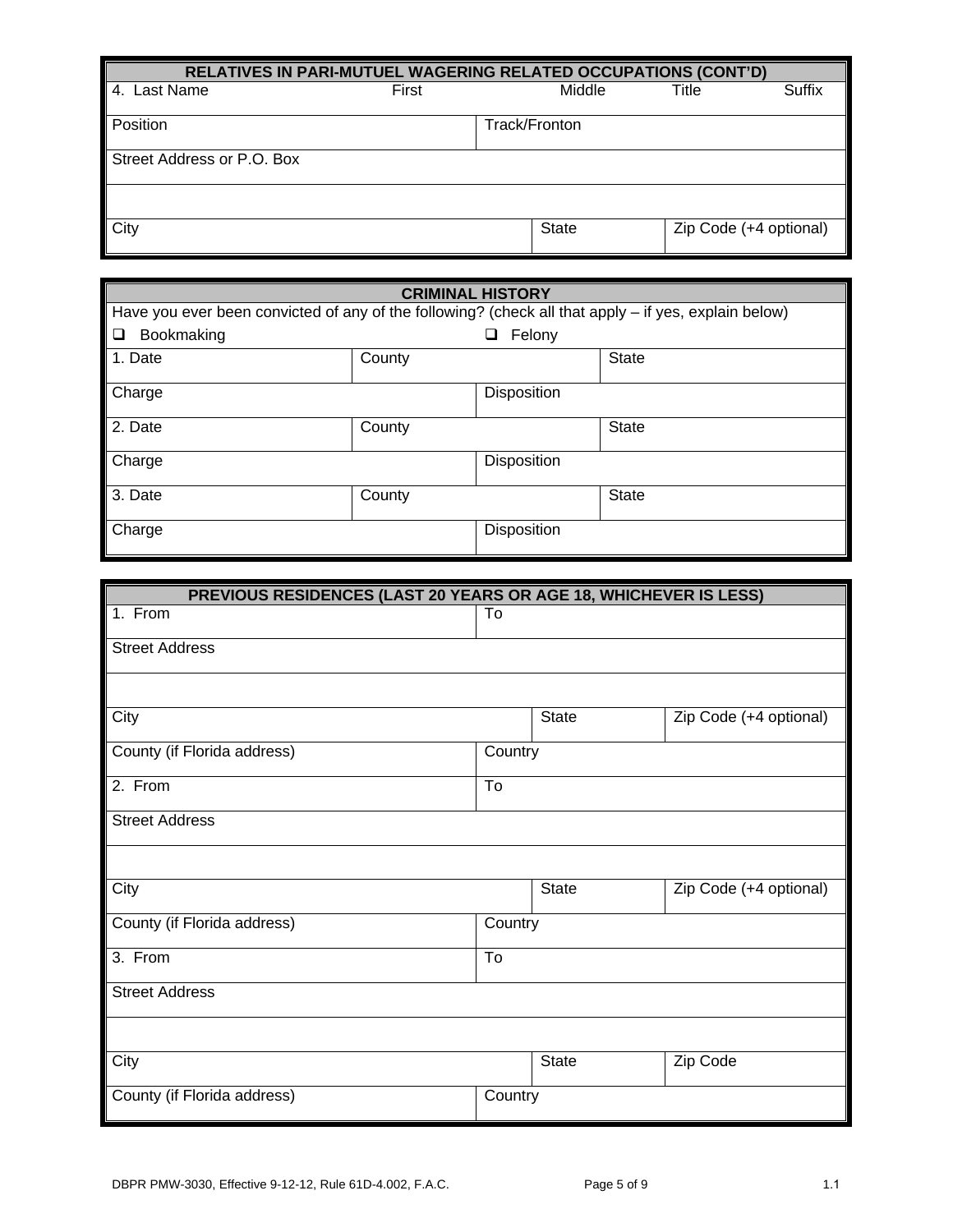| RELATIVES IN PARI-MUTUEL WAGERING RELATED OCCUPATIONS (CONT'D) |       |               |                        |        |  |
|----------------------------------------------------------------|-------|---------------|------------------------|--------|--|
| 4. Last Name                                                   | First | Middle        | Title                  | Suffix |  |
| Position                                                       |       | Track/Fronton |                        |        |  |
|                                                                |       |               |                        |        |  |
| Street Address or P.O. Box                                     |       |               |                        |        |  |
|                                                                |       |               |                        |        |  |
| City                                                           |       | <b>State</b>  | Zip Code (+4 optional) |        |  |

| <b>CRIMINAL HISTORY</b>                                                                                |        |                    |              |  |
|--------------------------------------------------------------------------------------------------------|--------|--------------------|--------------|--|
| Have you ever been convicted of any of the following? (check all that apply $-$ if yes, explain below) |        |                    |              |  |
| Bookmaking<br>$\Box$                                                                                   |        | Felony<br>⊔.       |              |  |
| 1. Date                                                                                                | County |                    | State        |  |
| Charge                                                                                                 |        | <b>Disposition</b> |              |  |
| 2. Date                                                                                                | County |                    | State        |  |
| Charge                                                                                                 |        | Disposition        |              |  |
| 3. Date                                                                                                | County |                    | <b>State</b> |  |
| Charge                                                                                                 |        | Disposition        |              |  |

| PREVIOUS RESIDENCES (LAST 20 YEARS OR AGE 18, WHICHEVER IS LESS) |                           |  |                        |
|------------------------------------------------------------------|---------------------------|--|------------------------|
| 1. From                                                          | To                        |  |                        |
| <b>Street Address</b>                                            |                           |  |                        |
|                                                                  |                           |  |                        |
| City                                                             | <b>State</b>              |  | Zip Code (+4 optional) |
| County (if Florida address)                                      | Country                   |  |                        |
| 2. From                                                          | To                        |  |                        |
| <b>Street Address</b>                                            |                           |  |                        |
|                                                                  |                           |  |                        |
| City                                                             | <b>State</b>              |  | Zip Code (+4 optional) |
| County (if Florida address)                                      | Country                   |  |                        |
| 3. From                                                          | $\overline{\mathsf{T}}$ o |  |                        |
| <b>Street Address</b>                                            |                           |  |                        |
|                                                                  |                           |  |                        |
| City                                                             | <b>State</b>              |  | Zip Code               |
| County (if Florida address)                                      | Country                   |  |                        |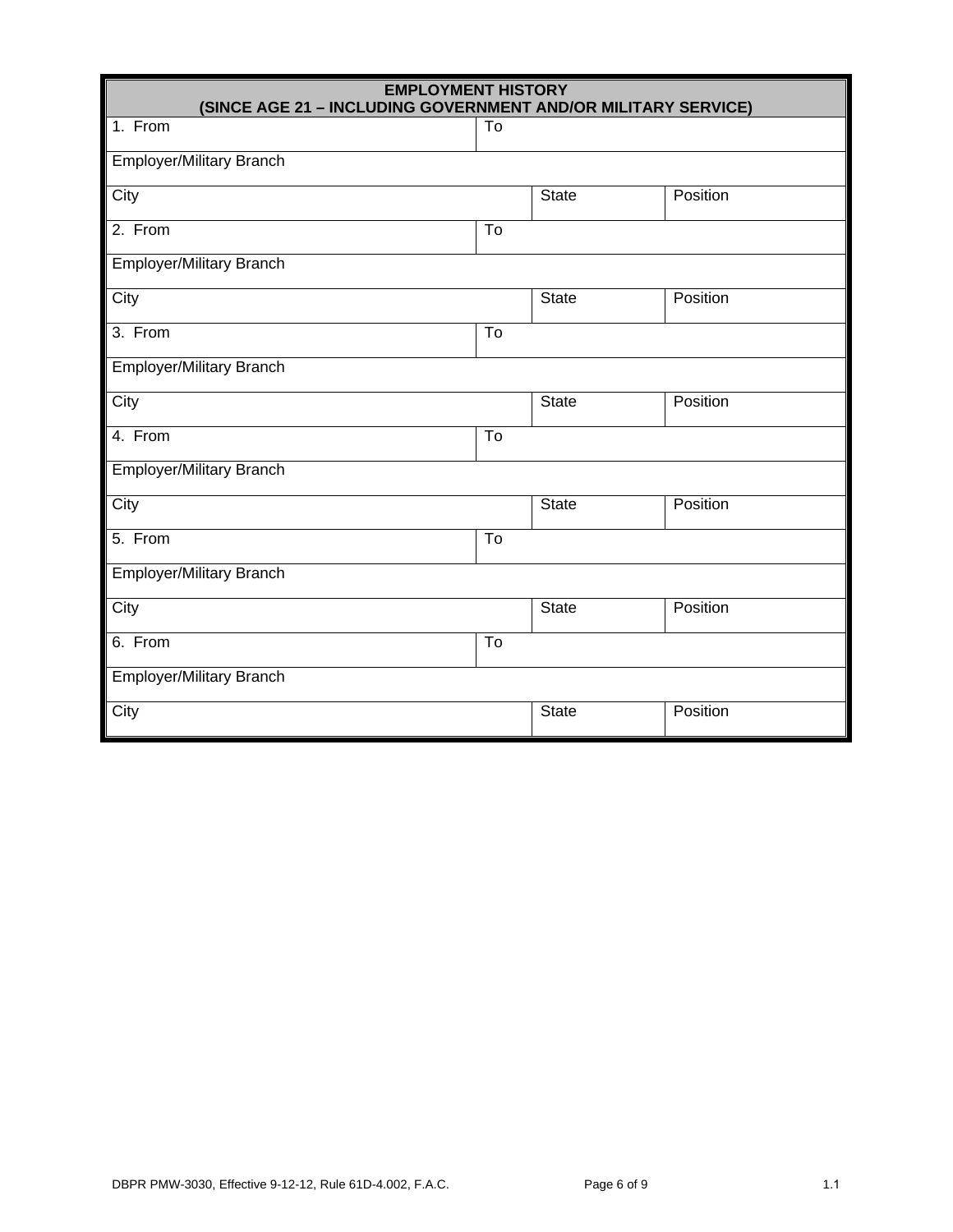| <b>EMPLOYMENT HISTORY</b><br>(SINCE AGE 21 - INCLUDING GOVERNMENT AND/OR MILITARY SERVICE) |                           |              |          |
|--------------------------------------------------------------------------------------------|---------------------------|--------------|----------|
| 1. From                                                                                    | To                        |              |          |
| <b>Employer/Military Branch</b>                                                            |                           |              |          |
| City                                                                                       |                           | State        | Position |
| 2. From                                                                                    | To                        |              |          |
| <b>Employer/Military Branch</b>                                                            |                           |              |          |
| City                                                                                       |                           | <b>State</b> | Position |
| 3. From                                                                                    | To                        |              |          |
| Employer/Military Branch                                                                   |                           |              |          |
| City                                                                                       |                           | <b>State</b> | Position |
| 4. From                                                                                    | $\overline{\text{To}}$    |              |          |
| Employer/Military Branch                                                                   |                           |              |          |
| City                                                                                       |                           | <b>State</b> | Position |
| 5. From                                                                                    | $\overline{\mathsf{T}}$ 0 |              |          |
| Employer/Military Branch                                                                   |                           |              |          |
| City                                                                                       |                           | State        | Position |
| 6. From                                                                                    | To                        |              |          |
| Employer/Military Branch                                                                   |                           |              |          |
| City                                                                                       |                           | <b>State</b> | Position |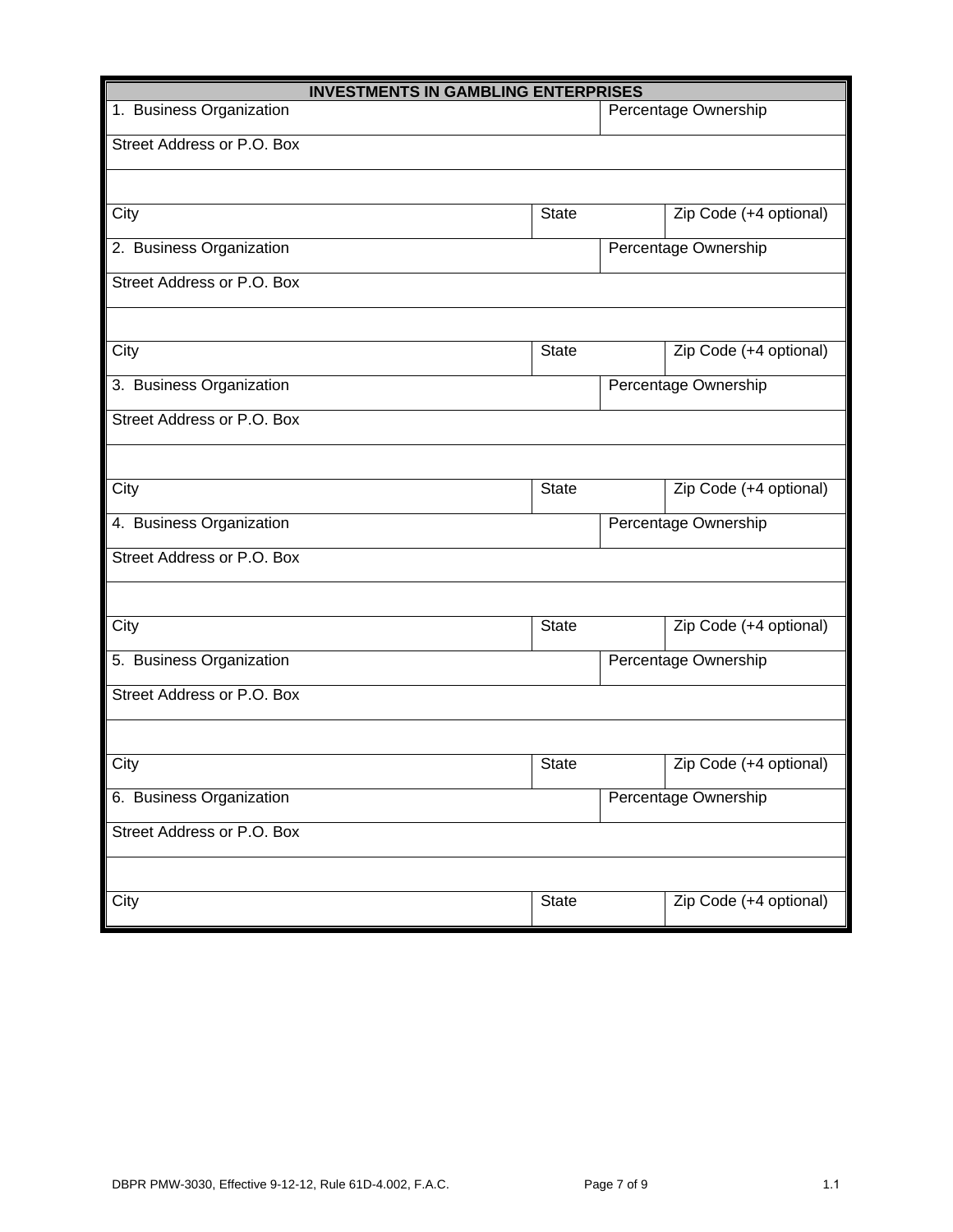| <b>INVESTMENTS IN GAMBLING ENTERPRISES</b> |                      |                      |                        |
|--------------------------------------------|----------------------|----------------------|------------------------|
| 1. Business Organization                   |                      | Percentage Ownership |                        |
| Street Address or P.O. Box                 |                      |                      |                        |
|                                            |                      |                      |                        |
| City                                       | <b>State</b>         |                      | Zip Code (+4 optional) |
| 2. Business Organization                   |                      |                      | Percentage Ownership   |
| Street Address or P.O. Box                 |                      |                      |                        |
|                                            |                      |                      |                        |
| City                                       | <b>State</b>         |                      | Zip Code (+4 optional) |
| 3. Business Organization                   |                      |                      | Percentage Ownership   |
| Street Address or P.O. Box                 |                      |                      |                        |
|                                            |                      |                      |                        |
| City                                       | <b>State</b>         |                      | Zip Code (+4 optional) |
| 4. Business Organization                   | Percentage Ownership |                      |                        |
| Street Address or P.O. Box                 |                      |                      |                        |
|                                            |                      |                      |                        |
| City                                       | <b>State</b>         |                      | Zip Code (+4 optional) |
| 5. Business Organization                   | Percentage Ownership |                      |                        |
| Street Address or P.O. Box                 |                      |                      |                        |
|                                            |                      |                      |                        |
| City                                       | <b>State</b>         |                      | Zip Code (+4 optional) |
| 6. Business Organization                   | Percentage Ownership |                      |                        |
| Street Address or P.O. Box                 |                      |                      |                        |
|                                            |                      |                      |                        |
| City                                       | <b>State</b>         |                      | Zip Code (+4 optional) |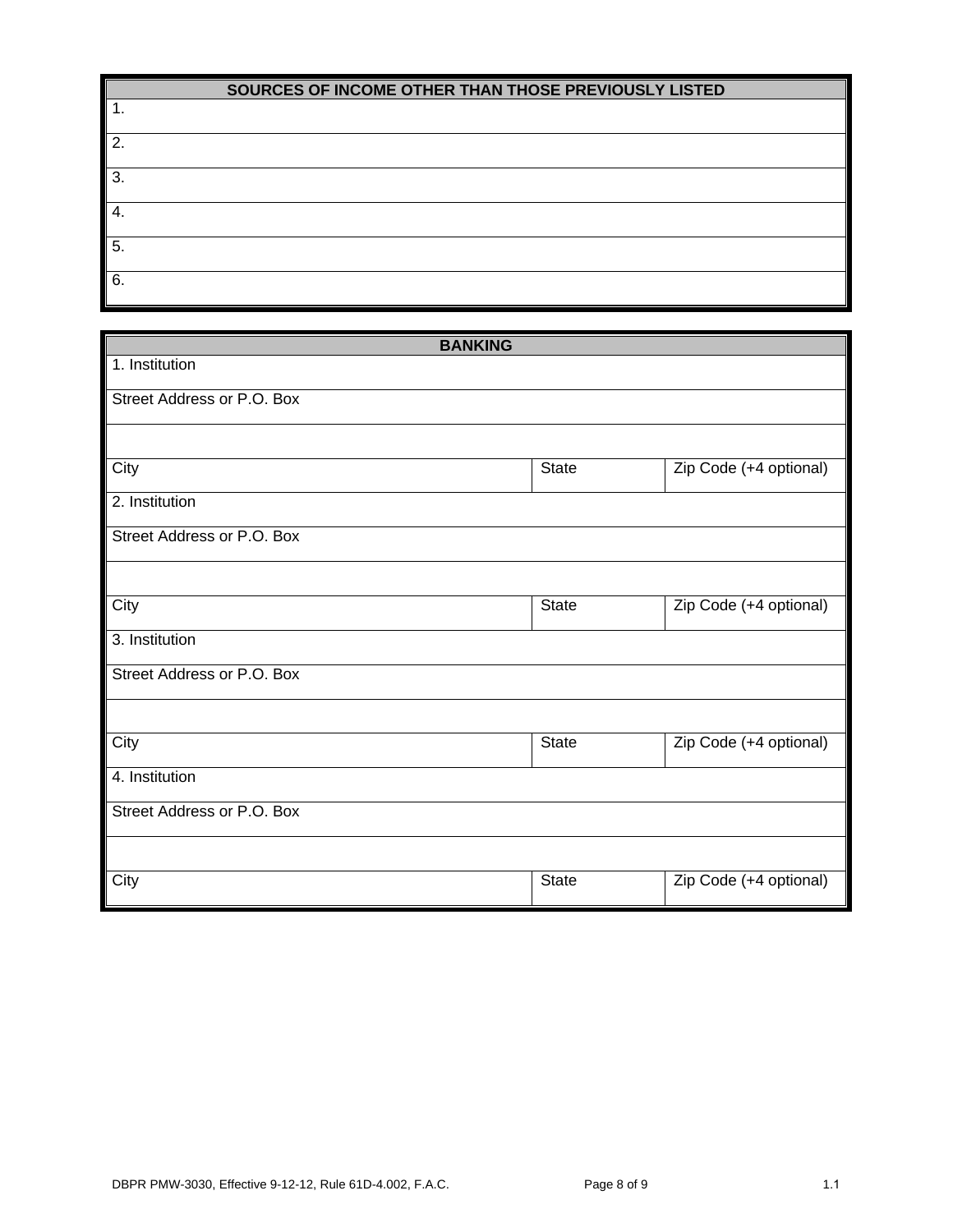| SOURCES OF INCOME OTHER THAN THOSE PREVIOUSLY LISTED |  |  |
|------------------------------------------------------|--|--|
|------------------------------------------------------|--|--|

| . .            |  |
|----------------|--|
| 2.             |  |
| 3.             |  |
| $\overline{4}$ |  |
| 5.             |  |
| 6.             |  |

| <b>BANKING</b>             |              |                        |
|----------------------------|--------------|------------------------|
| 1. Institution             |              |                        |
| Street Address or P.O. Box |              |                        |
|                            |              |                        |
| City                       | <b>State</b> | Zip Code (+4 optional) |
| 2. Institution             |              |                        |
| Street Address or P.O. Box |              |                        |
|                            |              |                        |
| City                       | State        | Zip Code (+4 optional) |
| 3. Institution             |              |                        |
| Street Address or P.O. Box |              |                        |
|                            |              |                        |
| City                       | State        | Zip Code (+4 optional) |
| 4. Institution             |              |                        |
| Street Address or P.O. Box |              |                        |
|                            |              |                        |
| City                       | State        | Zip Code (+4 optional) |